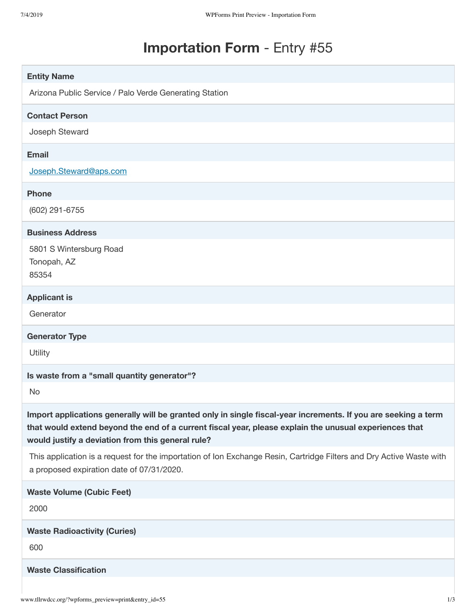# **Importation Form** - Entry #55

| <b>Entity Name</b>                                                                                                                                                                                                                                                            |
|-------------------------------------------------------------------------------------------------------------------------------------------------------------------------------------------------------------------------------------------------------------------------------|
| Arizona Public Service / Palo Verde Generating Station                                                                                                                                                                                                                        |
| <b>Contact Person</b>                                                                                                                                                                                                                                                         |
| Joseph Steward                                                                                                                                                                                                                                                                |
| Email                                                                                                                                                                                                                                                                         |
| Joseph.Steward@aps.com                                                                                                                                                                                                                                                        |
| <b>Phone</b>                                                                                                                                                                                                                                                                  |
| (602) 291-6755                                                                                                                                                                                                                                                                |
| <b>Business Address</b>                                                                                                                                                                                                                                                       |
| 5801 S Wintersburg Road<br>Tonopah, AZ<br>85354                                                                                                                                                                                                                               |
| <b>Applicant is</b>                                                                                                                                                                                                                                                           |
| Generator                                                                                                                                                                                                                                                                     |
| <b>Generator Type</b>                                                                                                                                                                                                                                                         |
| Utility                                                                                                                                                                                                                                                                       |
| Is waste from a "small quantity generator"?                                                                                                                                                                                                                                   |
| No                                                                                                                                                                                                                                                                            |
| Import applications generally will be granted only in single fiscal-year increments. If you are seeking a term<br>that would extend beyond the end of a current fiscal year, please explain the unusual experiences that<br>would justify a deviation from this general rule? |
| This application is a request for the importation of Ion Exchange Resin, Cartridge Filters and Dry Active Waste with<br>a proposed expiration date of 07/31/2020.                                                                                                             |
| <b>Waste Volume (Cubic Feet)</b>                                                                                                                                                                                                                                              |
| 2000                                                                                                                                                                                                                                                                          |
| <b>Waste Radioactivity (Curies)</b>                                                                                                                                                                                                                                           |
| 600                                                                                                                                                                                                                                                                           |
| <b>Waste Classification</b>                                                                                                                                                                                                                                                   |
|                                                                                                                                                                                                                                                                               |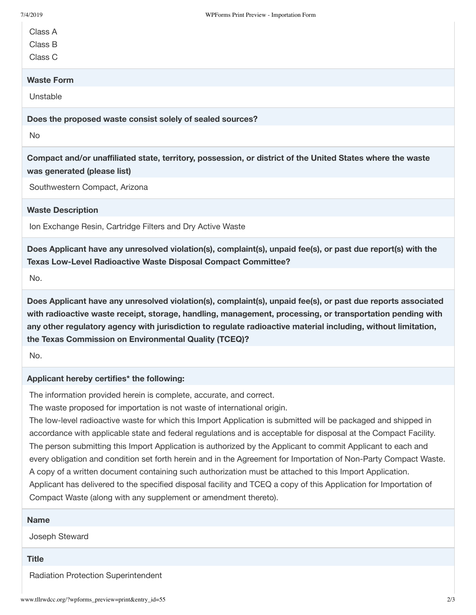Class A

Class B

Class C

## **Waste Form**

Unstable

**Does the proposed waste consist solely of sealed sources?**

No

**Compact and/or unaffiliated state, territory, possession, or district of the United States where the waste was generated (please list)**

Southwestern Compact, Arizona

## **Waste Description**

Ion Exchange Resin, Cartridge Filters and Dry Active Waste

**Does Applicant have any unresolved violation(s), complaint(s), unpaid fee(s), or past due report(s) with the Texas Low-Level Radioactive Waste Disposal Compact Committee?**

No.

**Does Applicant have any unresolved violation(s), complaint(s), unpaid fee(s), or past due reports associated with radioactive waste receipt, storage, handling, management, processing, or transportation pending with any other regulatory agency with jurisdiction to regulate radioactive material including, without limitation, the Texas Commission on Environmental Quality (TCEQ)?**

No.

## **Applicant hereby certifies\* the following:**

The information provided herein is complete, accurate, and correct.

The waste proposed for importation is not waste of international origin.

The low-level radioactive waste for which this Import Application is submitted will be packaged and shipped in accordance with applicable state and federal regulations and is acceptable for disposal at the Compact Facility. The person submitting this Import Application is authorized by the Applicant to commit Applicant to each and every obligation and condition set forth herein and in the Agreement for Importation of Non-Party Compact Waste. A copy of a written document containing such authorization must be attached to this Import Application. Applicant has delivered to the specified disposal facility and TCEQ a copy of this Application for Importation of Compact Waste (along with any supplement or amendment thereto).

## **Name**

Joseph Steward

#### **Title**

Radiation Protection Superintendent